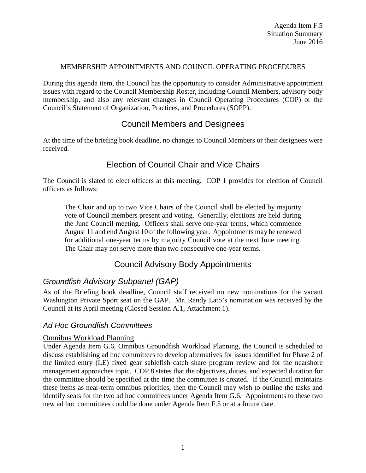#### MEMBERSHIP APPOINTMENTS AND COUNCIL OPERATING PROCEDURES

During this agenda item, the Council has the opportunity to consider Administrative appointment issues with regard to the Council Membership Roster, including Council Members, advisory body membership, and also any relevant changes in Council Operating Procedures (COP) or the Council's Statement of Organization, Practices, and Procedures (SOPP).

# Council Members and Designees

At the time of the briefing book deadline, no changes to Council Members or their designees were received.

# Election of Council Chair and Vice Chairs

The Council is slated to elect officers at this meeting. COP 1 provides for election of Council officers as follows:

The Chair and up to two Vice Chairs of the Council shall be elected by majority vote of Council members present and voting. Generally, elections are held during the June Council meeting. Officers shall serve one-year terms, which commence August 11 and end August 10 of the following year. Appointments may be renewed for additional one-year terms by majority Council vote at the next June meeting. The Chair may not serve more than two consecutive one-year terms.

# Council Advisory Body Appointments

# *Groundfish Advisory Subpanel (GAP)*

As of the Briefing book deadline, Council staff received no new nominations for the vacant Washington Private Sport seat on the GAP. Mr. Randy Lato's nomination was received by the Council at its April meeting (Closed Session A.1, Attachment 1).

# *Ad Hoc Groundfish Committees*

### Omnibus Workload Planning

Under Agenda Item G.6, Omnibus Groundfish Workload Planning, the Council is scheduled to discuss establishing ad hoc committees to develop alternatives for issues identified for Phase 2 of the limited entry (LE) fixed gear sablefish catch share program review and for the nearshore management approaches topic. COP 8 states that the objectives, duties, and expected duration for the committee should be specified at the time the committee is created. If the Council maintains these items as near-term omnibus priorities, then the Council may wish to outline the tasks and identify seats for the two ad hoc committees under Agenda Item G.6. Appointments to these two new ad hoc committees could be done under Agenda Item F.5 or at a future date.